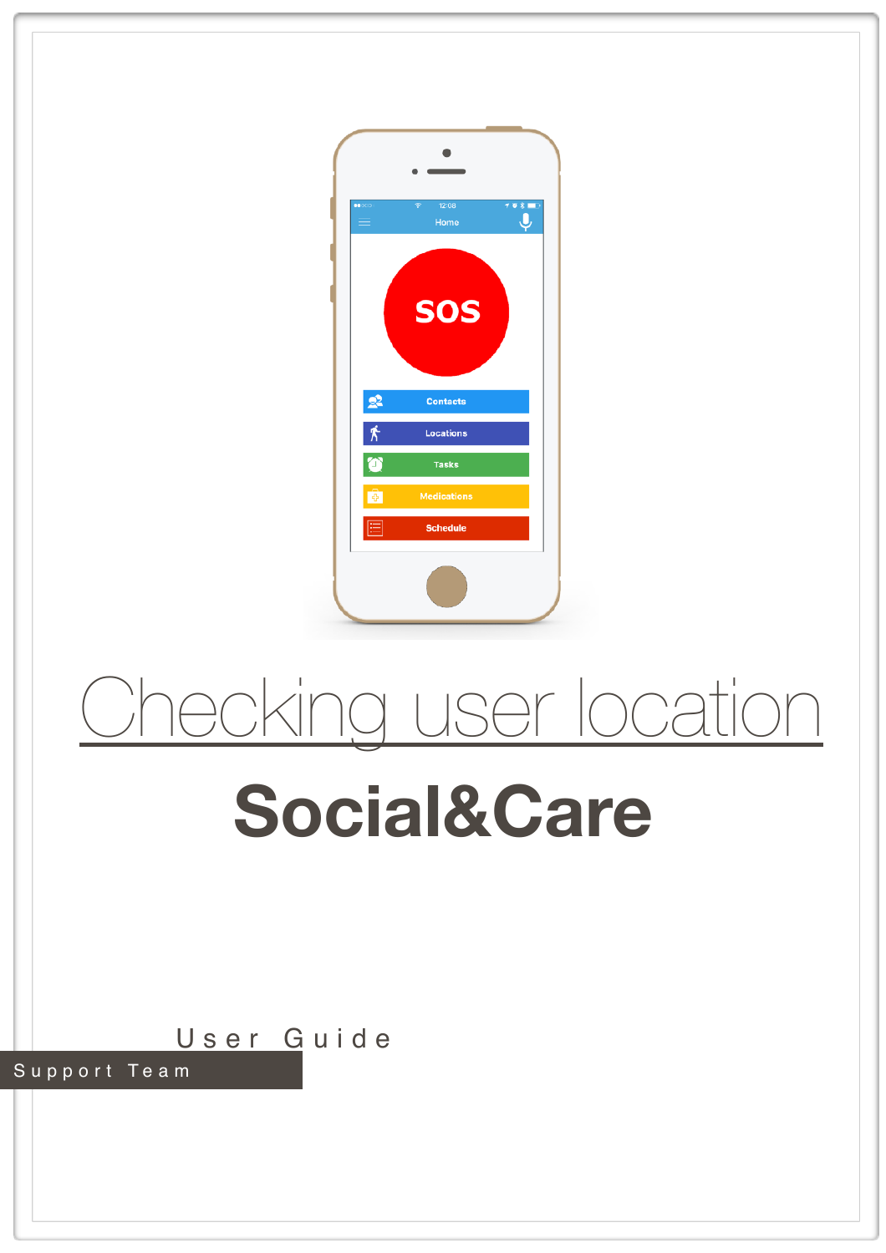

## Checking user location

## **Social&Care**

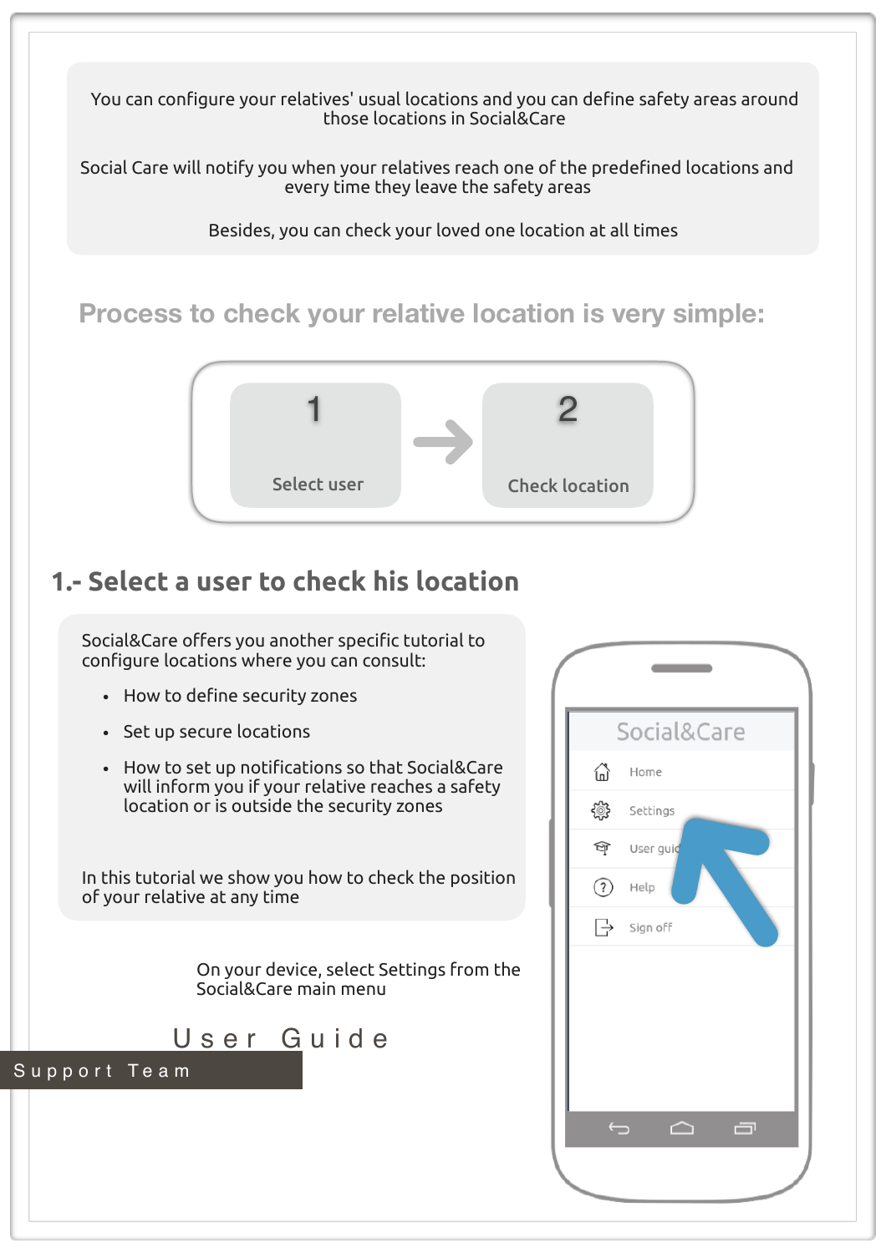You can configure your relatives' usual locations and you can define safety areas around those locations in Social&Care

Social Care will notify you when your relatives reach one of the predefined locations and every time they leave the safety areas

Besides, you can check your loved one location at all times

## **Process to check your relative location is very simple:**



## **1.- Select a user to check his location**

Social&Care offers you another specific tutorial to configure locations where you can consult:

- How to define security zones
- Set up secure locations
- How to set up notifications so that Social&Care will inform you if your relative reaches a safety location or is outside the security zones

In this tutorial we show you how to check the position of your relative at any time

> On your device, select Settings from the Social&Care main menu



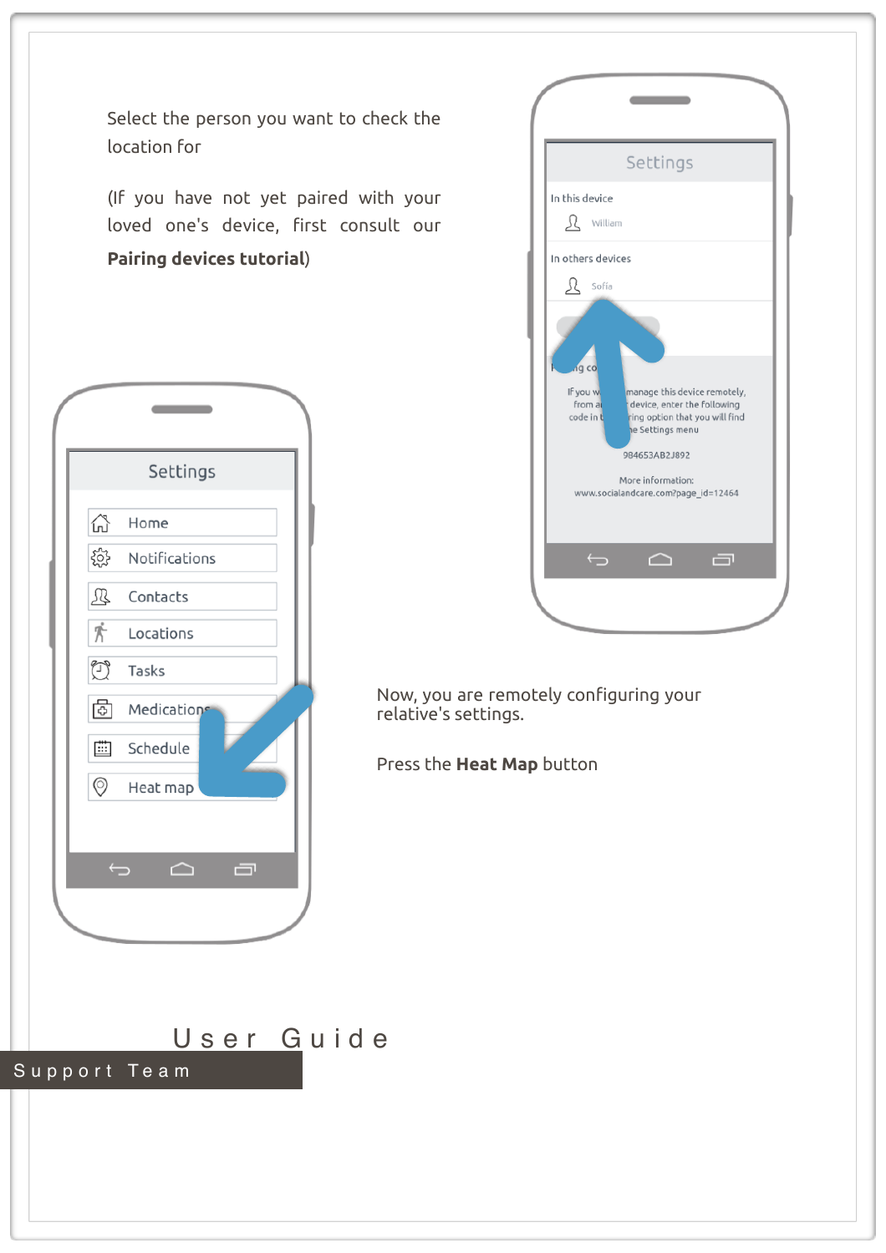Select the person you want to check the location for

(If you have not yet paired with your loved one's device, first consult our **Pairing devices tutorial**)



|                                                      | Settings                                                                                                                                                                                      |  |
|------------------------------------------------------|-----------------------------------------------------------------------------------------------------------------------------------------------------------------------------------------------|--|
| In this device<br>R William                          |                                                                                                                                                                                               |  |
| In others devices<br>$\mathfrak{L}$ Sofía            |                                                                                                                                                                                               |  |
| <sub>1</sub> g co<br>If you w<br>from a<br>code in t | manage this device remotely,<br>device, enter the following<br>ring option that you will find<br>e Settings menu<br>984653AB2J892<br>More information:<br>www.socialandcare.com?page_id=12464 |  |
| $\overline{\mathbb{C}}$                              | Ō<br>△                                                                                                                                                                                        |  |
|                                                      |                                                                                                                                                                                               |  |

Now, you are remotely configuring your relative's settings.

Press the **Heat Map** button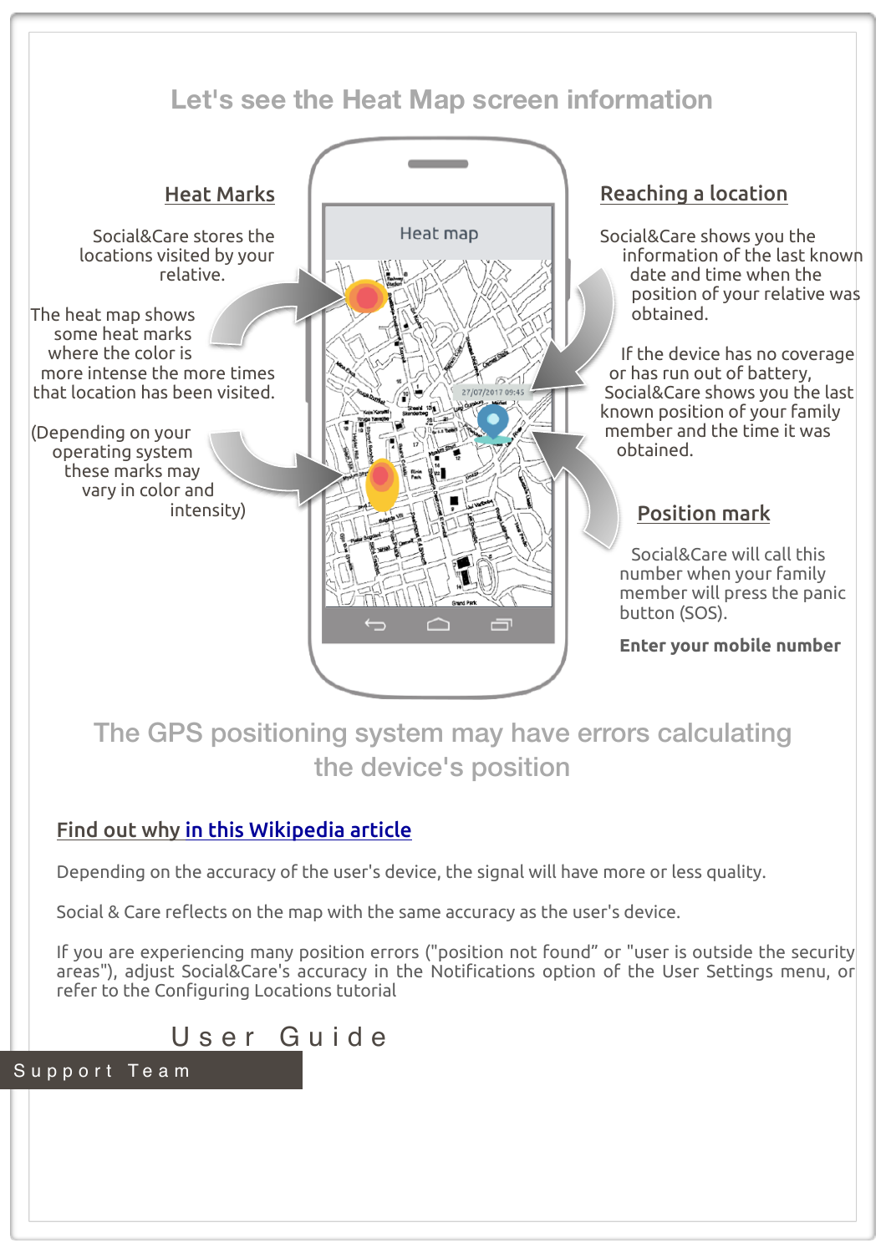